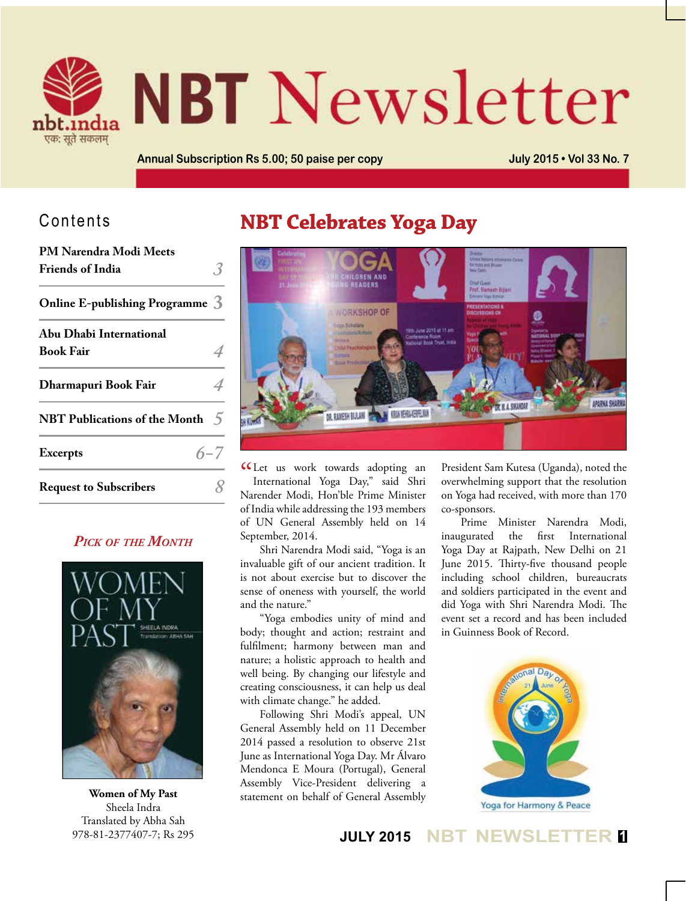

# **NBT** Newsletter

**Annual Subscription Rs 5.00; 50 paise per copy July 2015 • Vol 33 No. 7**

## Contents

| PM Narendra Modi Meets                   |  |
|------------------------------------------|--|
| <b>Friends of India</b>                  |  |
| Online E-publishing Programme 3          |  |
| Abu Dhabi International                  |  |
| Book Fair                                |  |
| Dharmapuri Book Fair                     |  |
| NBT Publications of the Month $\sqrt{5}$ |  |
| $6 - 7$<br><b>Excerpts</b>               |  |
| <b>Request to Subscribers</b>            |  |

## *Pick of the Month*



**Women of My Past** Sheela Indra Translated by Abha Sah 978-81-2377407-7; Rs 295

## **NBT Celebrates Yoga Day**



CLet us work towards adopting an<br>International Yoga Day," said Shri International Yoga Day," said Shri Narender Modi, Hon'ble Prime Minister of India while addressing the 193 members of UN General Assembly held on 14 September, 2014.

Shri Narendra Modi said, "Yoga is an invaluable gift of our ancient tradition. It is not about exercise but to discover the sense of oneness with yourself, the world and the nature."

"Yoga embodies unity of mind and body; thought and action; restraint and fulfilment; harmony between man and nature; a holistic approach to health and well being. By changing our lifestyle and creating consciousness, it can help us deal with climate change." he added.

Following Shri Modi's appeal, UN General Assembly held on 11 December 2014 passed a resolution to observe 21st June as International Yoga Day. Mr Álvaro Mendonca E Moura (Portugal), General Assembly Vice-President delivering a statement on behalf of General Assembly

President Sam Kutesa (Uganda), noted the overwhelming support that the resolution on Yoga had received, with more than 170 co-sponsors.

Prime Minister Narendra Modi, inaugurated the first International Yoga Day at Rajpath, New Delhi on 21 June 2015. Thirty-five thousand people including school children, bureaucrats and soldiers participated in the event and did Yoga with Shri Narendra Modi. The event set a record and has been included in Guinness Book of Record.



**JULY 2015 NBT NEWSLETTER <sup>1</sup>**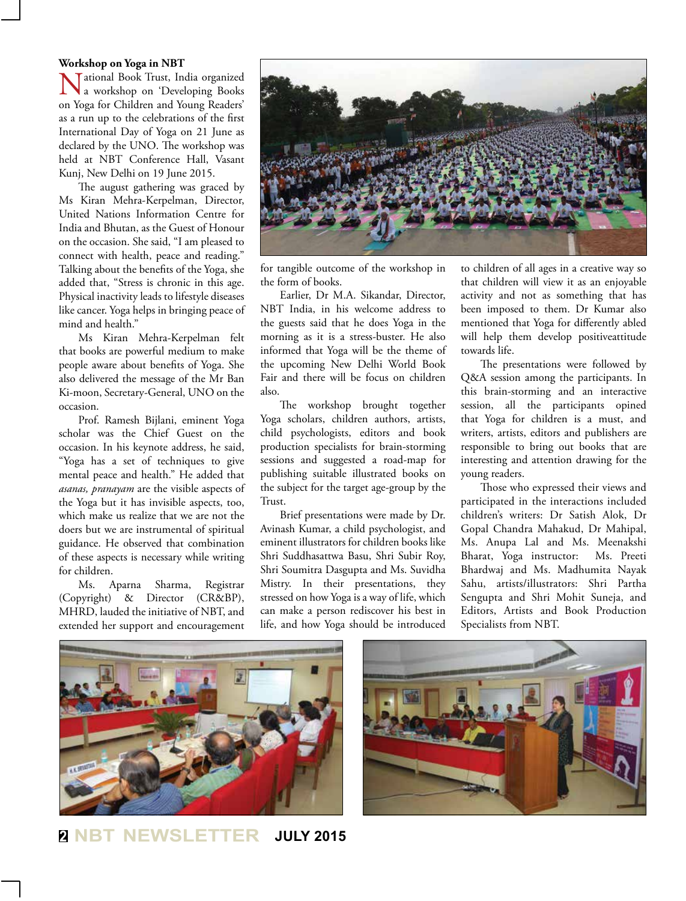#### **Workshop on Yoga in NBT**

National Book Trust, India organized a workshop on 'Developing Books on Yoga for Children and Young Readers' as a run up to the celebrations of the first International Day of Yoga on 21 June as declared by the UNO. The workshop was held at NBT Conference Hall, Vasant Kunj, New Delhi on 19 June 2015.

The august gathering was graced by Ms Kiran Mehra-Kerpelman, Director, United Nations Information Centre for India and Bhutan, as the Guest of Honour on the occasion. She said, "I am pleased to connect with health, peace and reading." Talking about the benefits of the Yoga, she added that, "Stress is chronic in this age. Physical inactivity leads to lifestyle diseases like cancer. Yoga helps in bringing peace of mind and health."

Ms Kiran Mehra-Kerpelman felt that books are powerful medium to make people aware about benefits of Yoga. She also delivered the message of the Mr Ban Ki-moon, Secretary-General, UNO on the occasion.

Prof. Ramesh Bijlani, eminent Yoga scholar was the Chief Guest on the occasion. In his keynote address, he said, "Yoga has a set of techniques to give mental peace and health." He added that *asanas, pranayam* are the visible aspects of the Yoga but it has invisible aspects, too, which make us realize that we are not the doers but we are instrumental of spiritual guidance. He observed that combination of these aspects is necessary while writing for children.

Ms. Aparna Sharma, Registrar (Copyright) & Director (CR&BP), MHRD, lauded the initiative of NBT, and extended her support and encouragement



for tangible outcome of the workshop in the form of books.

Earlier, Dr M.A. Sikandar, Director, NBT India, in his welcome address to the guests said that he does Yoga in the morning as it is a stress-buster. He also informed that Yoga will be the theme of the upcoming New Delhi World Book Fair and there will be focus on children also.

The workshop brought together Yoga scholars, children authors, artists, child psychologists, editors and book production specialists for brain-storming sessions and suggested a road-map for publishing suitable illustrated books on the subject for the target age-group by the Trust.

Brief presentations were made by Dr. Avinash Kumar, a child psychologist, and eminent illustrators for children books like Shri Suddhasattwa Basu, Shri Subir Roy, Shri Soumitra Dasgupta and Ms. Suvidha Mistry. In their presentations, they stressed on how Yoga is a way of life, which can make a person rediscover his best in life, and how Yoga should be introduced

to children of all ages in a creative way so that children will view it as an enjoyable activity and not as something that has been imposed to them. Dr Kumar also mentioned that Yoga for differently abled will help them develop positiveattitude towards life.

The presentations were followed by Q&A session among the participants. In this brain-storming and an interactive session, all the participants opined that Yoga for children is a must, and writers, artists, editors and publishers are responsible to bring out books that are interesting and attention drawing for the young readers.

Those who expressed their views and participated in the interactions included children's writers: Dr Satish Alok, Dr Gopal Chandra Mahakud, Dr Mahipal, Ms. Anupa Lal and Ms. Meenakshi Bharat, Yoga instructor: Ms. Preeti Bhardwaj and Ms. Madhumita Nayak Sahu, artists/illustrators: Shri Partha Sengupta and Shri Mohit Suneja, and Editors, Artists and Book Production Specialists from NBT.





**<sup>2</sup> NBT NEWSLETTER JULY 2015**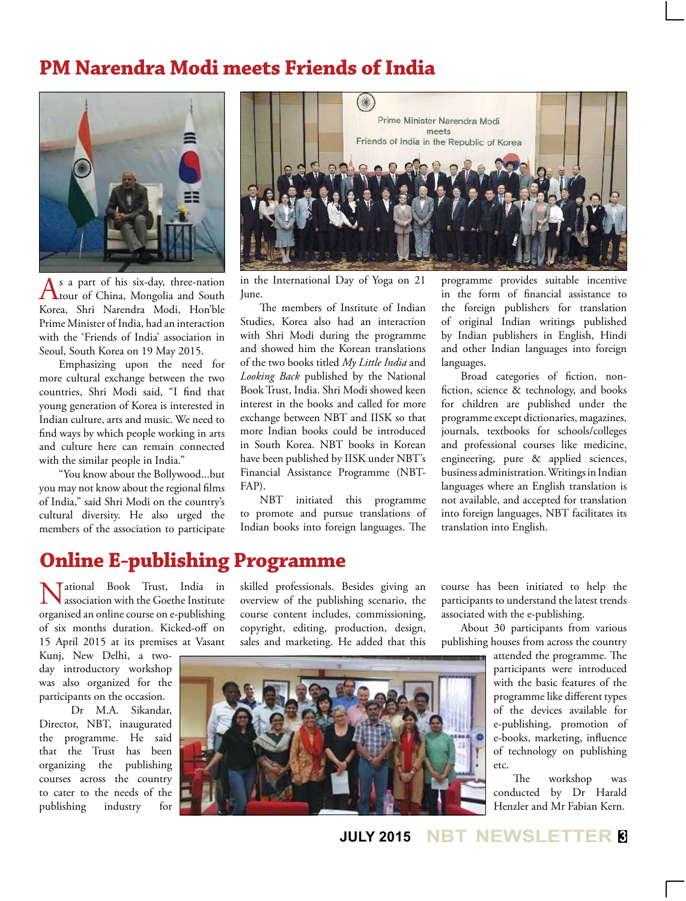## **PM Narendra Modi meets Friends of India**



 $\sum_{\text{t} \in \mathbb{N}}$  s a part of his six-day, three-nation south  $\sum_{\text{t}}$ Korea, Shri Narendra Modi, Hon'ble Prime Minister of India, had an interaction with the 'Friends of India' association in Seoul, South Korea on 19 May 2015.

Emphasizing upon the need for more cultural exchange between the two countries, Shri Modi said, "I find that young generation of Korea is interested in Indian culture, arts and music. We need to find ways by which people working in arts and culture here can remain connected with the similar people in India."

"You know about the Bollywood...but you may not know about the regional films of India," said Shri Modi on the country's cultural diversity. He also urged the members of the association to participate



in the International Day of Yoga on 21 June.

The members of Institute of Indian Studies, Korea also had an interaction with Shri Modi during the programme and showed him the Korean translations of the two books titled *My Little India* and *Looking Back* published by the National Book Trust, India. Shri Modi showed keen interest in the books and called for more exchange between NBT and IISK so that more Indian books could be introduced in South Korea. NBT books in Korean have been published by IISK under NBT's Financial Assistance Programme (NBT-FAP).

NBT initiated this programme to promote and pursue translations of Indian books into foreign languages. The

programme provides suitable incentive in the form of financial assistance to the foreign publishers for translation of original Indian writings published by Indian publishers in English, Hindi and other Indian languages into foreign languages.

Broad categories of fiction, nonfiction, science & technology, and books for children are published under the programme except dictionaries, magazines, journals, textbooks for schools/colleges and professional courses like medicine, engineering, pure & applied sciences, business administration. Writings in Indian languages where an English translation is not available, and accepted for translation into foreign languages, NBT facilitates its translation into English.

## **Online E-publishing Programme**

National Book Trust, India in association with the Goethe Institute organised an online course on e-publishing of six months duration. Kicked-off on 15 April 2015 at its premises at Vasant

Kunj, New Delhi, a twoday introductory workshop was also organized for the participants on the occasion.

 Dr M.A. Sikandar, Director, NBT, inaugurated the programme. He said that the Trust has been organizing the publishing courses across the country to cater to the needs of the publishing industry for

skilled professionals. Besides giving an overview of the publishing scenario, the course content includes, commissioning, copyright, editing, production, design, sales and marketing. He added that this

course has been initiated to help the participants to understand the latest trends associated with the e-publishing.

About 30 participants from various publishing houses from across the country

> attended the programme. The participants were introduced with the basic features of the programme like different types of the devices available for e-publishing, promotion of e-books, marketing, influence of technology on publishing etc.

The workshop was conducted by Dr Harald Henzler and Mr Fabian Kern.



**JULY 2015 NBT NEWSLETTER <sup>3</sup>**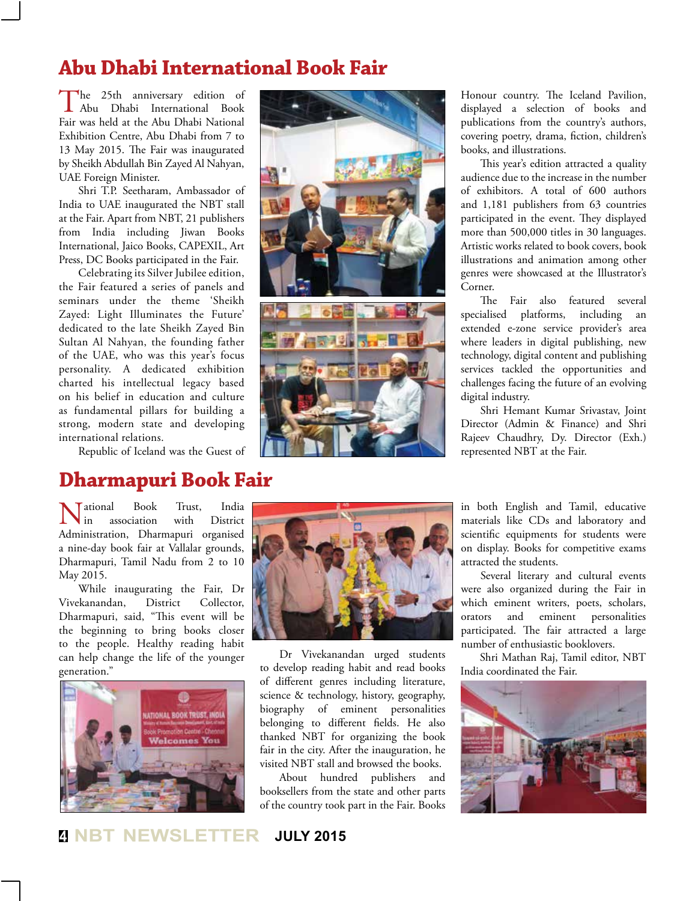## **Abu Dhabi International Book Fair**

The 25th anniversary edition of Abu Dhabi International Book Fair was held at the Abu Dhabi National Exhibition Centre, Abu Dhabi from 7 to 13 May 2015. The Fair was inaugurated by Sheikh Abdullah Bin Zayed Al Nahyan, UAE Foreign Minister.

Shri T.P. Seetharam, Ambassador of India to UAE inaugurated the NBT stall at the Fair. Apart from NBT, 21 publishers from India including Jiwan Books International, Jaico Books, CAPEXIL, Art Press, DC Books participated in the Fair.

Celebrating its Silver Jubilee edition, the Fair featured a series of panels and seminars under the theme 'Sheikh Zayed: Light Illuminates the Future' dedicated to the late Sheikh Zayed Bin Sultan Al Nahyan, the founding father of the UAE, who was this year's focus personality. A dedicated exhibition charted his intellectual legacy based on his belief in education and culture as fundamental pillars for building a strong, modern state and developing international relations.

Republic of Iceland was the Guest of

## **Dharmapuri Book Fair**

National Book Trust, India Administration, Dharmapuri organised **N** another **book heads interval** a nine-day book fair at Vallalar grounds, Dharmapuri, Tamil Nadu from 2 to 10 May 2015.

While inaugurating the Fair, Dr Vivekanandan, District Collector, Dharmapuri, said, "This event will be the beginning to bring books closer to the people. Healthy reading habit can help change the life of the younger generation."







Honour country. The Iceland Pavilion, displayed a selection of books and publications from the country's authors, covering poetry, drama, fiction, children's books, and illustrations.

This year's edition attracted a quality audience due to the increase in the number of exhibitors. A total of 600 authors and 1,181 publishers from 63 countries participated in the event. They displayed more than 500,000 titles in 30 languages. Artistic works related to book covers, book illustrations and animation among other genres were showcased at the Illustrator's Corner.

The Fair also featured several specialised platforms, including an extended e-zone service provider's area where leaders in digital publishing, new technology, digital content and publishing services tackled the opportunities and challenges facing the future of an evolving digital industry.

Shri Hemant Kumar Srivastav, Joint Director (Admin & Finance) and Shri Rajeev Chaudhry, Dy. Director (Exh.) represented NBT at the Fair.



Dr Vivekanandan urged students to develop reading habit and read books of different genres including literature, science & technology, history, geography, biography of eminent personalities belonging to different fields. He also thanked NBT for organizing the book fair in the city. After the inauguration, he visited NBT stall and browsed the books.

About hundred publishers and booksellers from the state and other parts of the country took part in the Fair. Books in both English and Tamil, educative materials like CDs and laboratory and scientific equipments for students were on display. Books for competitive exams attracted the students.

Several literary and cultural events were also organized during the Fair in which eminent writers, poets, scholars, orators and eminent personalities participated. The fair attracted a large number of enthusiastic booklovers.

Shri Mathan Raj, Tamil editor, NBT India coordinated the Fair.



**<sup>4</sup> NBT NEWSLETTER JULY 2015**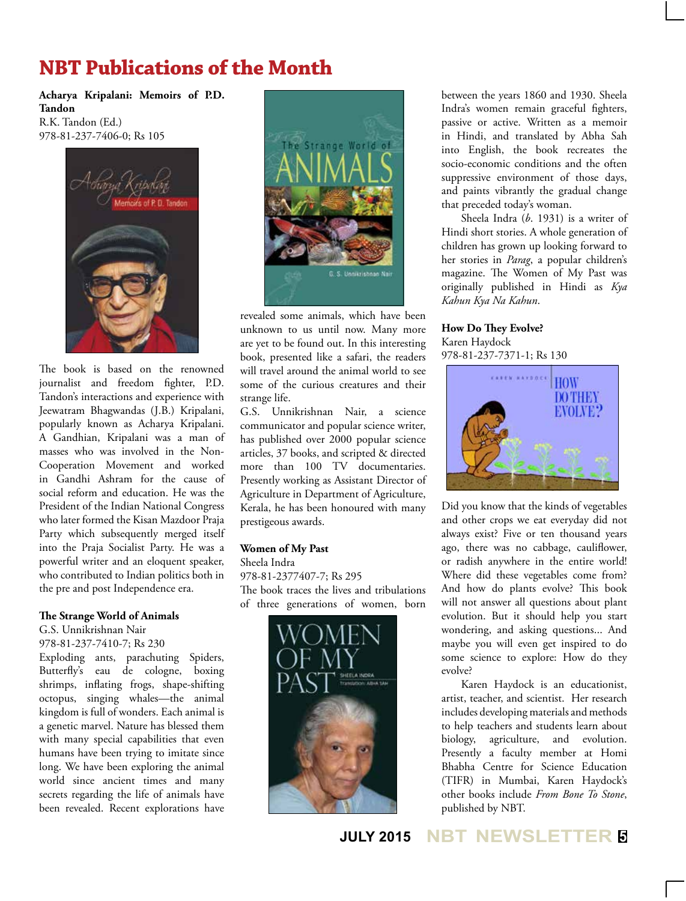## **NBT Publications of the Month**

**Acharya Kripalani: Memoirs of P.D. Tandon** R.K. Tandon (Ed.) 978-81-237-7406-0; Rs 105



The book is based on the renowned journalist and freedom fighter, P.D. Tandon's interactions and experience with Jeewatram Bhagwandas (J.B.) Kripalani, popularly known as Acharya Kripalani. A Gandhian, Kripalani was a man of masses who was involved in the Non-Cooperation Movement and worked in Gandhi Ashram for the cause of social reform and education. He was the President of the Indian National Congress who later formed the Kisan Mazdoor Praja Party which subsequently merged itself into the Praja Socialist Party. He was a powerful writer and an eloquent speaker, who contributed to Indian politics both in the pre and post Independence era.

#### **The Strange World of Animals**

G.S. Unnikrishnan Nair 978-81-237-7410-7; Rs 230

Exploding ants, parachuting Spiders, Butterfly's eau de cologne, boxing shrimps, inflating frogs, shape-shifting octopus, singing whales—the animal kingdom is full of wonders. Each animal is a genetic marvel. Nature has blessed them with many special capabilities that even humans have been trying to imitate since long. We have been exploring the animal world since ancient times and many secrets regarding the life of animals have been revealed. Recent explorations have



revealed some animals, which have been unknown to us until now. Many more are yet to be found out. In this interesting book, presented like a safari, the readers will travel around the animal world to see some of the curious creatures and their strange life.

G.S. Unnikrishnan Nair, a science communicator and popular science writer, has published over 2000 popular science articles, 37 books, and scripted & directed more than 100 TV documentaries. Presently working as Assistant Director of Agriculture in Department of Agriculture, Kerala, he has been honoured with many prestigeous awards.

#### **Women of My Past**

Sheela Indra 978-81-2377407-7; Rs 295 The book traces the lives and tribulations of three generations of women, born



between the years 1860 and 1930. Sheela Indra's women remain graceful fighters, passive or active. Written as a memoir in Hindi, and translated by Abha Sah into English, the book recreates the socio-economic conditions and the often suppressive environment of those days, and paints vibrantly the gradual change that preceded today's woman.

Sheela Indra (*b*. 1931) is a writer of Hindi short stories. A whole generation of children has grown up looking forward to her stories in *Parag*, a popular children's magazine. The Women of My Past was originally published in Hindi as *Kya Kahun Kya Na Kahun*.

**How Do They Evolve?** Karen Haydock 978-81-237-7371-1; Rs 130



Did you know that the kinds of vegetables and other crops we eat everyday did not always exist? Five or ten thousand years ago, there was no cabbage, cauliflower, or radish anywhere in the entire world! Where did these vegetables come from? And how do plants evolve? This book will not answer all questions about plant evolution. But it should help you start wondering, and asking questions... And maybe you will even get inspired to do some science to explore: How do they evolve?

Karen Haydock is an educationist, artist, teacher, and scientist. Her research includes developing materials and methods to help teachers and students learn about biology, agriculture, and evolution. Presently a faculty member at Homi Bhabha Centre for Science Education (TIFR) in Mumbai, Karen Haydock's other books include *From Bone To Stone*, published by NBT.

## **JULY 2015 NBT NEWSLETTER <sup>5</sup>**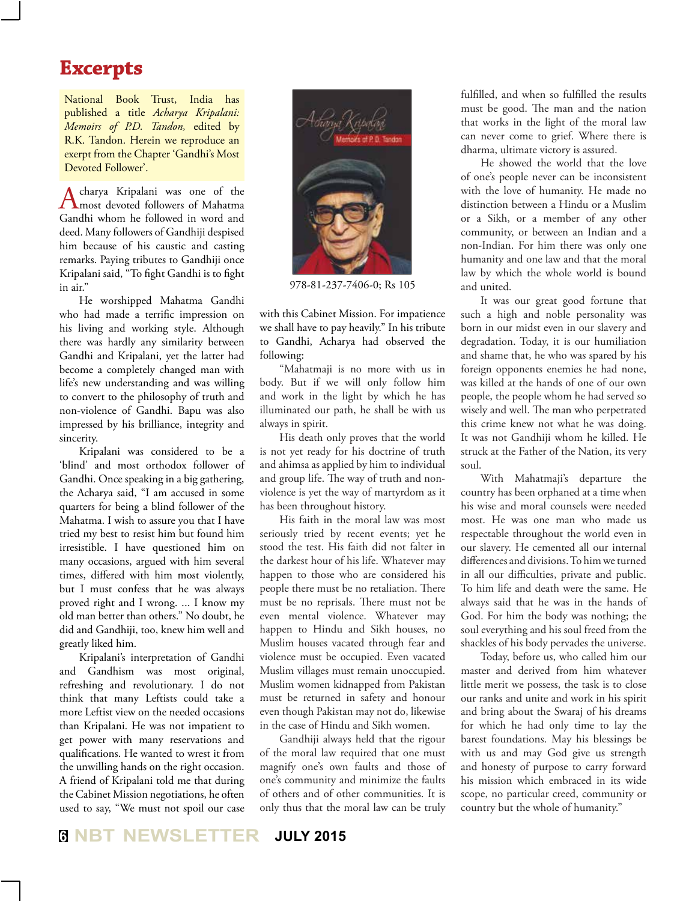## **Excerpts**

National Book Trust, India has published a title *Acharya Kripalani: Memoirs of P.D. Tandon,* edited by R.K. Tandon. Herein we reproduce an exerpt from the Chapter 'Gandhi's Most Devoted Follower'.

Acharya Kripalani was one of the most devoted followers of Mahatma Gandhi whom he followed in word and deed. Many followers of Gandhiji despised him because of his caustic and casting remarks. Paying tributes to Gandhiji once Kripalani said, "To fight Gandhi is to fight in air."

He worshipped Mahatma Gandhi who had made a terrific impression on his living and working style. Although there was hardly any similarity between Gandhi and Kripalani, yet the latter had become a completely changed man with life's new understanding and was willing to convert to the philosophy of truth and non-violence of Gandhi. Bapu was also impressed by his brilliance, integrity and sincerity.

Kripalani was considered to be a 'blind' and most orthodox follower of Gandhi. Once speaking in a big gathering, the Acharya said, "I am accused in some quarters for being a blind follower of the Mahatma. I wish to assure you that I have tried my best to resist him but found him irresistible. I have questioned him on many occasions, argued with him several times, differed with him most violently, but I must confess that he was always proved right and I wrong. ... I know my old man better than others." No doubt, he did and Gandhiji, too, knew him well and greatly liked him.

Kripalani's interpretation of Gandhi and Gandhism was most original, refreshing and revolutionary. I do not think that many Leftists could take a more Leftist view on the needed occasions than Kripalani. He was not impatient to get power with many reservations and qualifications. He wanted to wrest it from the unwilling hands on the right occasion. A friend of Kripalani told me that during the Cabinet Mission negotiations, he often used to say, "We must not spoil our case



978-81-237-7406-0; Rs 105

with this Cabinet Mission. For impatience we shall have to pay heavily." In his tribute to Gandhi, Acharya had observed the following:

"Mahatmaji is no more with us in body. But if we will only follow him and work in the light by which he has illuminated our path, he shall be with us always in spirit.

His death only proves that the world is not yet ready for his doctrine of truth and ahimsa as applied by him to individual and group life. The way of truth and nonviolence is yet the way of martyrdom as it has been throughout history.

His faith in the moral law was most seriously tried by recent events; yet he stood the test. His faith did not falter in the darkest hour of his life. Whatever may happen to those who are considered his people there must be no retaliation. There must be no reprisals. There must not be even mental violence. Whatever may happen to Hindu and Sikh houses, no Muslim houses vacated through fear and violence must be occupied. Even vacated Muslim villages must remain unoccupied. Muslim women kidnapped from Pakistan must be returned in safety and honour even though Pakistan may not do, likewise in the case of Hindu and Sikh women.

Gandhiji always held that the rigour of the moral law required that one must magnify one's own faults and those of one's community and minimize the faults of others and of other communities. It is only thus that the moral law can be truly

fulfilled, and when so fulfilled the results must be good. The man and the nation that works in the light of the moral law can never come to grief. Where there is dharma, ultimate victory is assured.

He showed the world that the love of one's people never can be inconsistent with the love of humanity. He made no distinction between a Hindu or a Muslim or a Sikh, or a member of any other community, or between an Indian and a non-Indian. For him there was only one humanity and one law and that the moral law by which the whole world is bound and united.

It was our great good fortune that such a high and noble personality was born in our midst even in our slavery and degradation. Today, it is our humiliation and shame that, he who was spared by his foreign opponents enemies he had none, was killed at the hands of one of our own people, the people whom he had served so wisely and well. The man who perpetrated this crime knew not what he was doing. It was not Gandhiji whom he killed. He struck at the Father of the Nation, its very soul.

With Mahatmaji's departure the country has been orphaned at a time when his wise and moral counsels were needed most. He was one man who made us respectable throughout the world even in our slavery. He cemented all our internal differences and divisions. To him we turned in all our difficulties, private and public. To him life and death were the same. He always said that he was in the hands of God. For him the body was nothing; the soul everything and his soul freed from the shackles of his body pervades the universe.

Today, before us, who called him our master and derived from him whatever little merit we possess, the task is to close our ranks and unite and work in his spirit and bring about the Swaraj of his dreams for which he had only time to lay the barest foundations. May his blessings be with us and may God give us strength and honesty of purpose to carry forward his mission which embraced in its wide scope, no particular creed, community or country but the whole of humanity."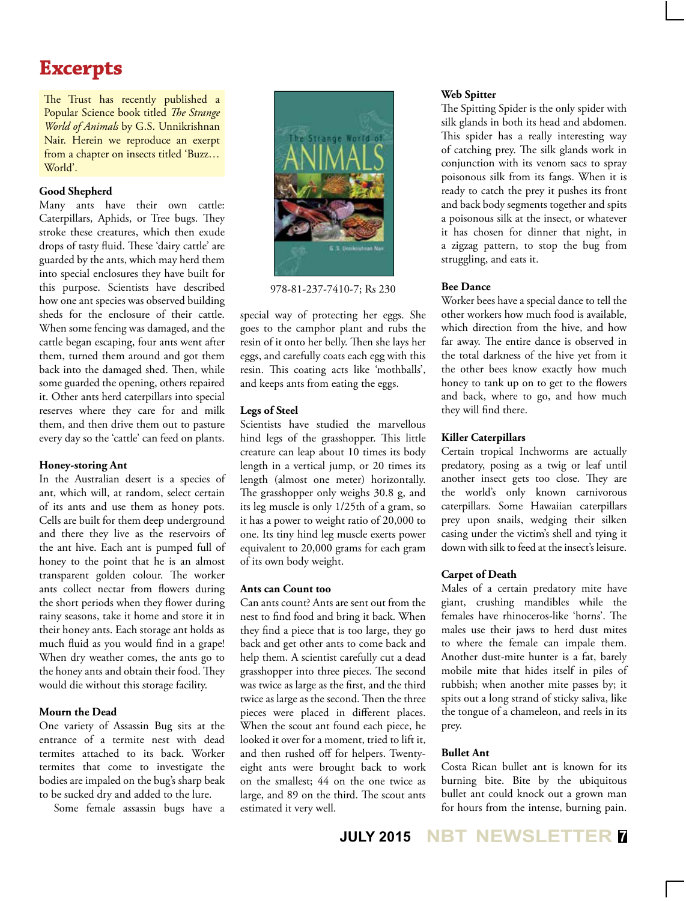## **Excerpts**

The Trust has recently published a Popular Science book titled *The Strange World of Animals* by G.S. Unnikrishnan Nair. Herein we reproduce an exerpt from a chapter on insects titled 'Buzz… World'.

#### **Good Shepherd**

Many ants have their own cattle: Caterpillars, Aphids, or Tree bugs. They stroke these creatures, which then exude drops of tasty fluid. These 'dairy cattle' are guarded by the ants, which may herd them into special enclosures they have built for this purpose. Scientists have described how one ant species was observed building sheds for the enclosure of their cattle. When some fencing was damaged, and the cattle began escaping, four ants went after them, turned them around and got them back into the damaged shed. Then, while some guarded the opening, others repaired it. Other ants herd caterpillars into special reserves where they care for and milk them, and then drive them out to pasture every day so the 'cattle' can feed on plants.

## **Honey-storing Ant**

In the Australian desert is a species of ant, which will, at random, select certain of its ants and use them as honey pots. Cells are built for them deep underground and there they live as the reservoirs of the ant hive. Each ant is pumped full of honey to the point that he is an almost transparent golden colour. The worker ants collect nectar from flowers during the short periods when they flower during rainy seasons, take it home and store it in their honey ants. Each storage ant holds as much fluid as you would find in a grape! When dry weather comes, the ants go to the honey ants and obtain their food. They would die without this storage facility.

## **Mourn the Dead**

One variety of Assassin Bug sits at the entrance of a termite nest with dead termites attached to its back. Worker termites that come to investigate the bodies are impaled on the bug's sharp beak to be sucked dry and added to the lure.

Some female assassin bugs have a



978-81-237-7410-7; Rs 230

special way of protecting her eggs. She goes to the camphor plant and rubs the resin of it onto her belly. Then she lays her eggs, and carefully coats each egg with this resin. This coating acts like 'mothballs', and keeps ants from eating the eggs.

## **Legs of Steel**

Scientists have studied the marvellous hind legs of the grasshopper. This little creature can leap about 10 times its body length in a vertical jump, or 20 times its length (almost one meter) horizontally. The grasshopper only weighs 30.8 g, and its leg muscle is only 1/25th of a gram, so it has a power to weight ratio of 20,000 to one. Its tiny hind leg muscle exerts power equivalent to 20,000 grams for each gram of its own body weight.

## **Ants can Count too**

Can ants count? Ants are sent out from the nest to find food and bring it back. When they find a piece that is too large, they go back and get other ants to come back and help them. A scientist carefully cut a dead grasshopper into three pieces. The second was twice as large as the first, and the third twice as large as the second. Then the three pieces were placed in different places. When the scout ant found each piece, he looked it over for a moment, tried to lift it, and then rushed off for helpers. Twentyeight ants were brought back to work on the smallest; 44 on the one twice as large, and 89 on the third. The scout ants estimated it very well.

#### **Web Spitter**

The Spitting Spider is the only spider with silk glands in both its head and abdomen. This spider has a really interesting way of catching prey. The silk glands work in conjunction with its venom sacs to spray poisonous silk from its fangs. When it is ready to catch the prey it pushes its front and back body segments together and spits a poisonous silk at the insect, or whatever it has chosen for dinner that night, in a zigzag pattern, to stop the bug from struggling, and eats it.

#### **Bee Dance**

Worker bees have a special dance to tell the other workers how much food is available, which direction from the hive, and how far away. The entire dance is observed in the total darkness of the hive yet from it the other bees know exactly how much honey to tank up on to get to the flowers and back, where to go, and how much they will find there.

### **Killer Caterpillars**

Certain tropical Inchworms are actually predatory, posing as a twig or leaf until another insect gets too close. They are the world's only known carnivorous caterpillars. Some Hawaiian caterpillars prey upon snails, wedging their silken casing under the victim's shell and tying it down with silk to feed at the insect's leisure.

#### **Carpet of Death**

Males of a certain predatory mite have giant, crushing mandibles while the females have rhinoceros-like 'horns'. The males use their jaws to herd dust mites to where the female can impale them. Another dust-mite hunter is a fat, barely mobile mite that hides itself in piles of rubbish; when another mite passes by; it spits out a long strand of sticky saliva, like the tongue of a chameleon, and reels in its prey.

## **Bullet Ant**

Costa Rican bullet ant is known for its burning bite. Bite by the ubiquitous bullet ant could knock out a grown man for hours from the intense, burning pain.